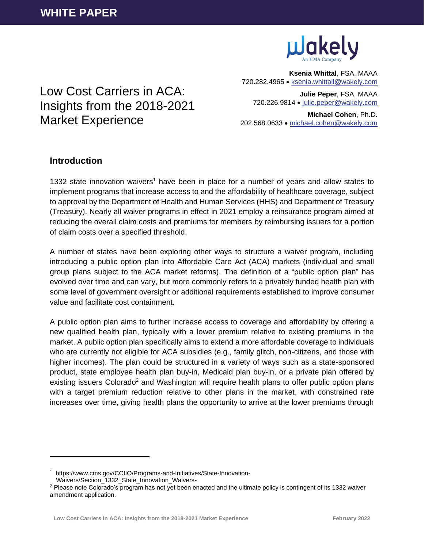

**Ksenia Whittal**, FSA, MAAA 720.282.4965 • [ksenia.whittall@wakely.com](mailto:ksenia.whittall@wakely.com)

**Julie Peper**, FSA, MAAA 720.226.9814 • [julie.peper@wakely.com](mailto:julie.peper@wakely.com)

**Michael Cohen**, Ph.D. 202.568.0633 • [michael.cohen@wakely.com](mailto:michael.cohen@wakely.com)

# Low Cost Carriers in ACA: Insights from the 2018-2021 Market Experience

# **Introduction**

1332 state innovation waivers<sup>1</sup> have been in place for a number of years and allow states to implement programs that increase access to and the affordability of healthcare coverage, subject to approval by the Department of Health and Human Services (HHS) and Department of Treasury (Treasury). Nearly all waiver programs in effect in 2021 employ a reinsurance program aimed at reducing the overall claim costs and premiums for members by reimbursing issuers for a portion of claim costs over a specified threshold.

A number of states have been exploring other ways to structure a waiver program, including introducing a public option plan into Affordable Care Act (ACA) markets (individual and small group plans subject to the ACA market reforms). The definition of a "public option plan" has evolved over time and can vary, but more commonly refers to a privately funded health plan with some level of government oversight or additional requirements established to improve consumer value and facilitate cost containment.

A public option plan aims to further increase access to coverage and affordability by offering a new qualified health plan, typically with a lower premium relative to existing premiums in the market. A public option plan specifically aims to extend a more affordable coverage to individuals who are currently not eligible for ACA subsidies (e.g., family glitch, non-citizens, and those with higher incomes). The plan could be structured in a variety of ways such as a state-sponsored product, state employee health plan buy-in, Medicaid plan buy-in, or a private plan offered by existing issuers Colorado<sup>2</sup> and Washington will require health plans to offer public option plans with a target premium reduction relative to other plans in the market, with constrained rate increases over time, giving health plans the opportunity to arrive at the lower premiums through

<sup>1</sup> https://www.cms.gov/CCIIO/Programs-and-Initiatives/State-Innovation-Waivers/Section\_1332\_State\_Innovation\_Waivers-

<sup>&</sup>lt;sup>2</sup> Please note Colorado's program has not yet been enacted and the ultimate policy is contingent of its 1332 waiver amendment application.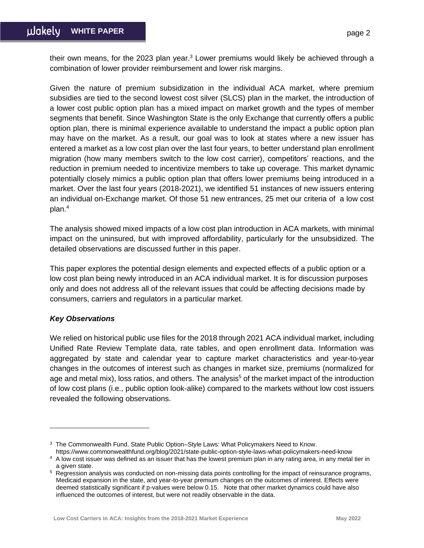their own means, for the 2023 plan year.<sup>3</sup> Lower premiums would likely be achieved through a combination of lower provider reimbursement and lower risk margins.

Given the nature of premium subsidization in the individual ACA market, where premium subsidies are tied to the second lowest cost silver (SLCS) plan in the market, the introduction of a lower cost public option plan has a mixed impact on market growth and the types of member segments that benefit. Since Washington State is the only Exchange that currently offers a public option plan, there is minimal experience available to understand the impact a public option plan may have on the market. As a result, our goal was to look at states where a new issuer has entered a market as a low cost plan over the last four years, to better understand plan enrollment migration (how many members switch to the low cost carrier), competitors' reactions, and the reduction in premium needed to incentivize members to take up coverage. This market dynamic potentially closely mimics a public option plan that offers lower premiums being introduced in a market. Over the last four years (2018-2021), we identified 51 instances of new issuers entering an individual on-Exchange market. Of those 51 new entrances, 25 met our criteria of a low cost plan. 4

The analysis showed mixed impacts of a low cost plan introduction in ACA markets, with minimal impact on the uninsured, but with improved affordability, particularly for the unsubsidized. The detailed observations are discussed further in this paper.

This paper explores the potential design elements and expected effects of a public option or a low cost plan being newly introduced in an ACA individual market. It is for discussion purposes only and does not address all of the relevant issues that could be affecting decisions made by consumers, carriers and regulators in a particular market.

# *Key Observations*

We relied on historical public use files for the 2018 through 2021 ACA individual market, including Unified Rate Review Template data, rate tables, and open enrollment data. Information was aggregated by state and calendar year to capture market characteristics and year-to-year changes in the outcomes of interest such as changes in market size, premiums (normalized for age and metal mix), loss ratios, and others. The analysis<sup>5</sup> of the market impact of the introduction of low cost plans (i.e., public option look-alike) compared to the markets without low cost issuers revealed the following observations.

https://www.commonwealthfund.org/blog/2021/state-public-option-style-laws-what-policymakers-need-know

<sup>&</sup>lt;sup>3</sup> The Commonwealth Fund. State Public Option–Style Laws: What Policymakers Need to Know.

<sup>4</sup> A low cost issuer was defined as an issuer that has the lowest premium plan in any rating area, in any metal tier in a given state.

<sup>5</sup> Regression analysis was conducted on non-missing data points controlling for the impact of reinsurance programs, Medicaid expansion in the state, and year-to-year premium changes on the outcomes of interest. Effects were deemed statistically significant if p-values were below 0.15. Note that other market dynamics could have also influenced the outcomes of interest, but were not readily observable in the data.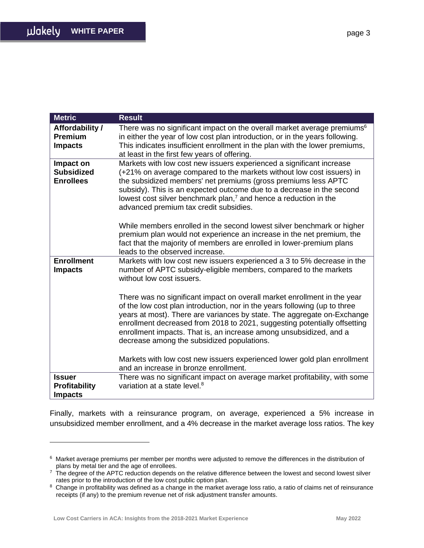| <b>Metric</b>                                       | <b>Result</b>                                                                                                                                                                                                                                                                                                                                                                                                                      |
|-----------------------------------------------------|------------------------------------------------------------------------------------------------------------------------------------------------------------------------------------------------------------------------------------------------------------------------------------------------------------------------------------------------------------------------------------------------------------------------------------|
| Affordability /<br><b>Premium</b><br><b>Impacts</b> | There was no significant impact on the overall market average premiums <sup>6</sup><br>in either the year of low cost plan introduction, or in the years following.<br>This indicates insufficient enrollment in the plan with the lower premiums,<br>at least in the first few years of offering.                                                                                                                                 |
| Impact on<br><b>Subsidized</b><br><b>Enrollees</b>  | Markets with low cost new issuers experienced a significant increase<br>(+21% on average compared to the markets without low cost issuers) in<br>the subsidized members' net premiums (gross premiums less APTC<br>subsidy). This is an expected outcome due to a decrease in the second<br>lowest cost silver benchmark plan, $7$ and hence a reduction in the<br>advanced premium tax credit subsidies.                          |
|                                                     | While members enrolled in the second lowest silver benchmark or higher<br>premium plan would not experience an increase in the net premium, the<br>fact that the majority of members are enrolled in lower-premium plans<br>leads to the observed increase.                                                                                                                                                                        |
| <b>Enrollment</b><br><b>Impacts</b>                 | Markets with low cost new issuers experienced a 3 to 5% decrease in the<br>number of APTC subsidy-eligible members, compared to the markets<br>without low cost issuers.                                                                                                                                                                                                                                                           |
|                                                     | There was no significant impact on overall market enrollment in the year<br>of the low cost plan introduction, nor in the years following (up to three<br>years at most). There are variances by state. The aggregate on-Exchange<br>enrollment decreased from 2018 to 2021, suggesting potentially offsetting<br>enrollment impacts. That is, an increase among unsubsidized, and a<br>decrease among the subsidized populations. |
|                                                     | Markets with low cost new issuers experienced lower gold plan enrollment<br>and an increase in bronze enrollment.                                                                                                                                                                                                                                                                                                                  |
| <b>Issuer</b>                                       | There was no significant impact on average market profitability, with some                                                                                                                                                                                                                                                                                                                                                         |
| <b>Profitability</b><br><b>Impacts</b>              | variation at a state level. <sup>8</sup>                                                                                                                                                                                                                                                                                                                                                                                           |
|                                                     |                                                                                                                                                                                                                                                                                                                                                                                                                                    |

Finally, markets with a reinsurance program, on average, experienced a 5% increase in unsubsidized member enrollment, and a 4% decrease in the market average loss ratios. The key

<sup>6</sup> Market average premiums per member per months were adjusted to remove the differences in the distribution of plans by metal tier and the age of enrollees.

<sup>7</sup> The degree of the APTC reduction depends on the relative difference between the lowest and second lowest silver rates prior to the introduction of the low cost public option plan.

<sup>&</sup>lt;sup>8</sup> Change in profitability was defined as a change in the market average loss ratio, a ratio of claims net of reinsurance receipts (if any) to the premium revenue net of risk adjustment transfer amounts.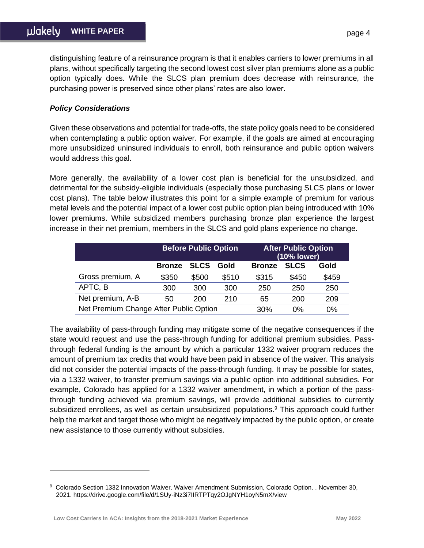distinguishing feature of a reinsurance program is that it enables carriers to lower premiums in all plans, without specifically targeting the second lowest cost silver plan premiums alone as a public option typically does. While the SLCS plan premium does decrease with reinsurance, the purchasing power is preserved since other plans' rates are also lower.

### *Policy Considerations*

Given these observations and potential for trade-offs, the state policy goals need to be considered when contemplating a public option waiver. For example, if the goals are aimed at encouraging more unsubsidized uninsured individuals to enroll, both reinsurance and public option waivers would address this goal.

More generally, the availability of a lower cost plan is beneficial for the unsubsidized, and detrimental for the subsidy-eligible individuals (especially those purchasing SLCS plans or lower cost plans). The table below illustrates this point for a simple example of premium for various metal levels and the potential impact of a lower cost public option plan being introduced with 10% lower premiums. While subsidized members purchasing bronze plan experience the largest increase in their net premium, members in the SLCS and gold plans experience no change.

|                                        | <b>Before Public Option</b> |             |       | <b>After Public Option</b><br>(10% lower) |             |       |
|----------------------------------------|-----------------------------|-------------|-------|-------------------------------------------|-------------|-------|
|                                        | <b>Bronze</b>               | <b>SLCS</b> | Gold  | <b>Bronze</b>                             | <b>SLCS</b> | Gold  |
| Gross premium, A                       | \$350                       | \$500       | \$510 | \$315                                     | \$450       | \$459 |
| APTC, B                                | 300                         | 300         | 300   | 250                                       | 250         | 250   |
| Net premium, A-B                       | 50                          | 200         | 210   | 65                                        | 200         | 209   |
| Net Premium Change After Public Option |                             |             |       | 30%                                       | $0\%$       | 0%    |

The availability of pass-through funding may mitigate some of the negative consequences if the state would request and use the pass-through funding for additional premium subsidies. Passthrough federal funding is the amount by which a particular 1332 waiver program reduces the amount of premium tax credits that would have been paid in absence of the waiver. This analysis did not consider the potential impacts of the pass-through funding. It may be possible for states, via a 1332 waiver, to transfer premium savings via a public option into additional subsidies. For example, Colorado has applied for a 1332 waiver amendment, in which a portion of the passthrough funding achieved via premium savings, will provide additional subsidies to currently subsidized enrollees, as well as certain unsubsidized populations. <sup>9</sup> This approach could further help the market and target those who might be negatively impacted by the public option, or create new assistance to those currently without subsidies.

<sup>9</sup> Colorado Section 1332 Innovation Waiver. Waiver Amendment Submission, Colorado Option. . November 30, 2021. https://drive.google.com/file/d/1SUy-iNz3i7IIRTPTqy2OJgNYH1oyN5mX/view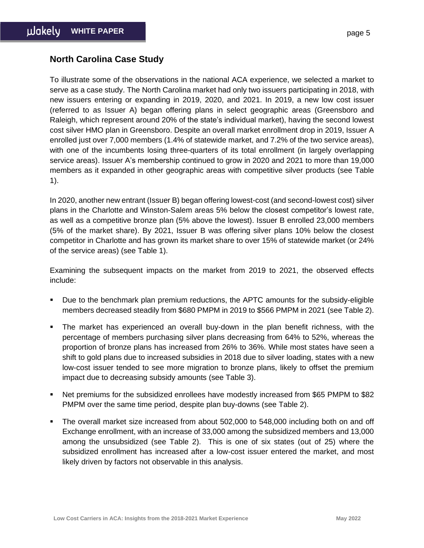# **North Carolina Case Study**

To illustrate some of the observations in the national ACA experience, we selected a market to serve as a case study. The North Carolina market had only two issuers participating in 2018, with new issuers entering or expanding in 2019, 2020, and 2021. In 2019, a new low cost issuer (referred to as Issuer A) began offering plans in select geographic areas (Greensboro and Raleigh, which represent around 20% of the state's individual market), having the second lowest cost silver HMO plan in Greensboro. Despite an overall market enrollment drop in 2019, Issuer A enrolled just over 7,000 members (1.4% of statewide market, and 7.2% of the two service areas), with one of the incumbents losing three-quarters of its total enrollment (in largely overlapping service areas). Issuer A's membership continued to grow in 2020 and 2021 to more than 19,000 members as it expanded in other geographic areas with competitive silver products (see Table 1).

In 2020, another new entrant (Issuer B) began offering lowest-cost (and second-lowest cost) silver plans in the Charlotte and Winston-Salem areas 5% below the closest competitor's lowest rate, as well as a competitive bronze plan (5% above the lowest). Issuer B enrolled 23,000 members (5% of the market share). By 2021, Issuer B was offering silver plans 10% below the closest competitor in Charlotte and has grown its market share to over 15% of statewide market (or 24% of the service areas) (see Table 1).

Examining the subsequent impacts on the market from 2019 to 2021, the observed effects include:

- Due to the benchmark plan premium reductions, the APTC amounts for the subsidy-eligible members decreased steadily from \$680 PMPM in 2019 to \$566 PMPM in 2021 (see Table 2).
- The market has experienced an overall buy-down in the plan benefit richness, with the percentage of members purchasing silver plans decreasing from 64% to 52%, whereas the proportion of bronze plans has increased from 26% to 36%. While most states have seen a shift to gold plans due to increased subsidies in 2018 due to silver loading, states with a new low-cost issuer tended to see more migration to bronze plans, likely to offset the premium impact due to decreasing subsidy amounts (see Table 3).
- Net premiums for the subsidized enrollees have modestly increased from \$65 PMPM to \$82 PMPM over the same time period, despite plan buy-downs (see Table 2).
- The overall market size increased from about 502,000 to 548,000 including both on and off Exchange enrollment, with an increase of 33,000 among the subsidized members and 13,000 among the unsubsidized (see Table 2). This is one of six states (out of 25) where the subsidized enrollment has increased after a low-cost issuer entered the market, and most likely driven by factors not observable in this analysis.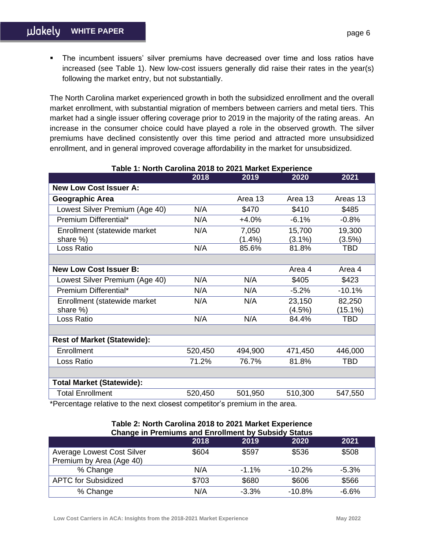**•** The incumbent issuers' silver premiums have decreased over time and loss ratios have increased (see Table 1). New low-cost issuers generally did raise their rates in the year(s) following the market entry, but not substantially.

The North Carolina market experienced growth in both the subsidized enrollment and the overall market enrollment, with substantial migration of members between carriers and metal tiers. This market had a single issuer offering coverage prior to 2019 in the majority of the rating areas. An increase in the consumer choice could have played a role in the observed growth. The silver premiums have declined consistently over this time period and attracted more unsubsidized enrollment, and in general improved coverage affordability in the market for unsubsidized.

|                                    | 2018    | 2019      | 2020      | 2021       |
|------------------------------------|---------|-----------|-----------|------------|
| <b>New Low Cost Issuer A:</b>      |         |           |           |            |
| <b>Geographic Area</b>             |         | Area 13   | Area 13   | Areas 13   |
| Lowest Silver Premium (Age 40)     | N/A     | \$470     | \$410     | \$485      |
| Premium Differential*              | N/A     | $+4.0%$   | $-6.1%$   | $-0.8%$    |
| Enrollment (statewide market       | N/A     | 7,050     | 15,700    | 19,300     |
| share %)                           |         | $(1.4\%)$ | $(3.1\%)$ | $(3.5\%)$  |
| Loss Ratio                         | N/A     | 85.6%     | 81.8%     | <b>TBD</b> |
|                                    |         |           |           |            |
| <b>New Low Cost Issuer B:</b>      |         |           | Area 4    | Area 4     |
| Lowest Silver Premium (Age 40)     | N/A     | N/A       | \$405     | \$423      |
| Premium Differential*              | N/A     | N/A       | $-5.2%$   | $-10.1%$   |
| Enrollment (statewide market       | N/A     | N/A       | 23,150    | 82,250     |
| share %)                           |         |           | (4.5%)    | $(15.1\%)$ |
| Loss Ratio                         | N/A     | N/A       | 84.4%     | <b>TBD</b> |
|                                    |         |           |           |            |
| <b>Rest of Market (Statewide):</b> |         |           |           |            |
| Enrollment                         | 520,450 | 494,900   | 471,450   | 446,000    |
| Loss Ratio                         | 71.2%   | 76.7%     | 81.8%     | <b>TBD</b> |
|                                    |         |           |           |            |
| <b>Total Market (Statewide):</b>   |         |           |           |            |
| <b>Total Enrollment</b>            | 520,450 | 501,950   | 510,300   | 547,550    |

# **Table 1: North Carolina 2018 to 2021 Market Experience**

\*Percentage relative to the next closest competitor's premium in the area.

| Lable 2: North Carolina 2018 to 2021 Market Experience<br><b>Change in Premiums and Enrollment by Subsidy Status</b> |       |         |          |         |  |
|----------------------------------------------------------------------------------------------------------------------|-------|---------|----------|---------|--|
|                                                                                                                      | 2018  | 2019    | 2020     | 2021    |  |
| <b>Average Lowest Cost Silver</b><br>Premium by Area (Age 40)                                                        | \$604 | \$597   | \$536    | \$508   |  |
| % Change                                                                                                             | N/A   | $-1.1%$ | $-10.2%$ | $-5.3%$ |  |
| <b>APTC for Subsidized</b>                                                                                           | \$703 | \$680   | \$606    | \$566   |  |
| % Change                                                                                                             | N/A   | $-3.3%$ | $-10.8%$ | $-6.6%$ |  |

# **Table 2: North Carolina 2018 to 2021 Market Experience**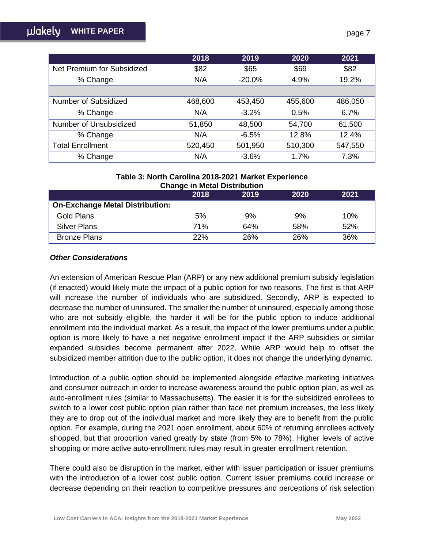|                            | 2018    | 2019     | 2020    | 2021    |
|----------------------------|---------|----------|---------|---------|
| Net Premium for Subsidized | \$82    | \$65     | \$69    | \$82    |
| % Change                   | N/A     | $-20.0%$ | 4.9%    | 19.2%   |
|                            |         |          |         |         |
| Number of Subsidized       | 468,600 | 453,450  | 455,600 | 486,050 |
| % Change                   | N/A     | $-3.2%$  | 0.5%    | 6.7%    |
| Number of Unsubsidized     | 51,850  | 48,500   | 54,700  | 61,500  |
| % Change                   | N/A     | $-6.5%$  | 12.8%   | 12.4%   |
| <b>Total Enrollment</b>    | 520,450 | 501,950  | 510,300 | 547,550 |
| % Change                   | N/A     | $-3.6%$  | 1.7%    | 7.3%    |

### **Table 3: North Carolina 2018-2021 Market Experience Change in Metal Distribution**

|                                        | 2018 | 2019 | 2020 | 2021 |  |
|----------------------------------------|------|------|------|------|--|
| <b>On-Exchange Metal Distribution:</b> |      |      |      |      |  |
| Gold Plans                             | 5%   | 9%   | 9%   | 10%  |  |
| Silver Plans                           | 71%  | 64%  | 58%  | 52%  |  |
| <b>Bronze Plans</b>                    | 22%  | 26%  | 26%  | 36%  |  |

## *Other Considerations*

An extension of American Rescue Plan (ARP) or any new additional premium subsidy legislation (if enacted) would likely mute the impact of a public option for two reasons. The first is that ARP will increase the number of individuals who are subsidized. Secondly, ARP is expected to decrease the number of uninsured. The smaller the number of uninsured, especially among those who are not subsidy eligible, the harder it will be for the public option to induce additional enrollment into the individual market. As a result, the impact of the lower premiums under a public option is more likely to have a net negative enrollment impact if the ARP subsidies or similar expanded subsidies become permanent after 2022. While ARP would help to offset the subsidized member attrition due to the public option, it does not change the underlying dynamic.

Introduction of a public option should be implemented alongside effective marketing initiatives and consumer outreach in order to increase awareness around the public option plan, as well as auto-enrollment rules (similar to Massachusetts). The easier it is for the subsidized enrollees to switch to a lower cost public option plan rather than face net premium increases, the less likely they are to drop out of the individual market and more likely they are to benefit from the public option. For example, during the 2021 open enrollment, about 60% of returning enrollees actively shopped, but that proportion varied greatly by state (from 5% to 78%). Higher levels of active shopping or more active auto-enrollment rules may result in greater enrollment retention.

There could also be disruption in the market, either with issuer participation or issuer premiums with the introduction of a lower cost public option. Current issuer premiums could increase or decrease depending on their reaction to competitive pressures and perceptions of risk selection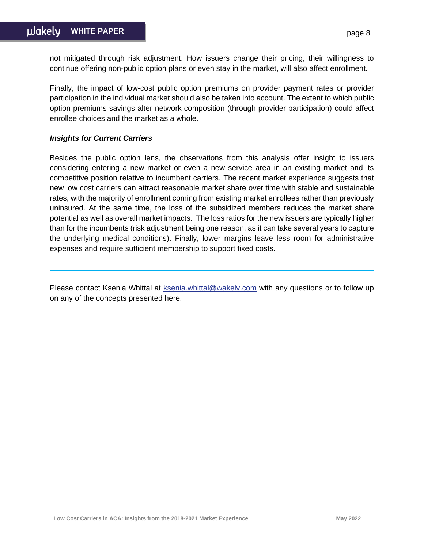not mitigated through risk adjustment. How issuers change their pricing, their willingness to continue offering non-public option plans or even stay in the market, will also affect enrollment.

Finally, the impact of low-cost public option premiums on provider payment rates or provider participation in the individual market should also be taken into account. The extent to which public option premiums savings alter network composition (through provider participation) could affect enrollee choices and the market as a whole.

### *Insights for Current Carriers*

Besides the public option lens, the observations from this analysis offer insight to issuers considering entering a new market or even a new service area in an existing market and its competitive position relative to incumbent carriers. The recent market experience suggests that new low cost carriers can attract reasonable market share over time with stable and sustainable rates, with the majority of enrollment coming from existing market enrollees rather than previously uninsured. At the same time, the loss of the subsidized members reduces the market share potential as well as overall market impacts. The loss ratios for the new issuers are typically higher than for the incumbents (risk adjustment being one reason, as it can take several years to capture the underlying medical conditions). Finally, lower margins leave less room for administrative expenses and require sufficient membership to support fixed costs.

Please contact Ksenia Whittal at [ksenia.whittal@wakely.com](mailto:ksenia.whittal@wakely.com) with any questions or to follow up on any of the concepts presented here.